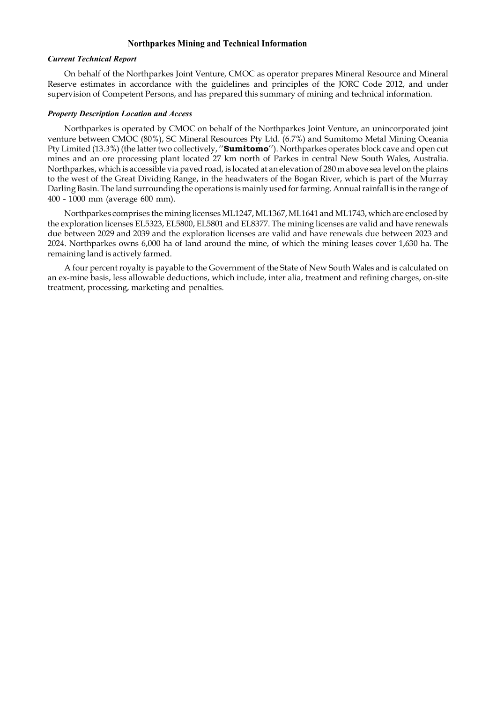# Northparkes Mining and Technical Information

# Current Technical Report

On behalf of the Northparkes Joint Venture, CMOC as operator prepares Mineral Resource and Mineral Reserve estimates in accordance with the guidelines and principles of the JORC Code 2012, and under supervision of Competent Persons, and has prepared this summary of mining and technical information.

# Property Description Location and Access

Northparkes is operated by CMOC on behalf of the Northparkes Joint Venture, an unincorporated joint venture between CMOC (80%), SC Mineral Resources Pty Ltd. (6.7%) and Sumitomo Metal Mining Oceania Pty Limited (13.3%) (the latter two collectively, "Sumitomo"). Northparkes operates block cave and open cut mines and an ore processing plant located 27 km north of Parkes in central New South Wales, Australia. Northparkes, which is accessible via paved road, is located at an elevation of 280 m above sea level on the plains to the west of the Great Dividing Range, in the headwaters of the Bogan River, which is part of the Murray Darling Basin. The land surrounding the operations is mainly used for farming. Annual rainfall is in the range of 400 - 1000 mm (average 600 mm).

Northparkes comprises the mining licenses ML1247, ML1367, ML1641 and ML1743, which are enclosed by the exploration licenses EL5323, EL5800, EL5801 and EL8377. The mining licenses are valid and have renewals due between 2029 and 2039 and the exploration licenses are valid and have renewals due between 2023 and 2024. Northparkes owns 6,000 ha of land around the mine, of which the mining leases cover 1,630 ha. The remaining land is actively farmed.

A four percent royalty is payable to the Government of the State of New South Wales and is calculated on an ex-mine basis, less allowable deductions, which include, inter alia, treatment and refining charges, on-site treatment, processing, marketing and penalties.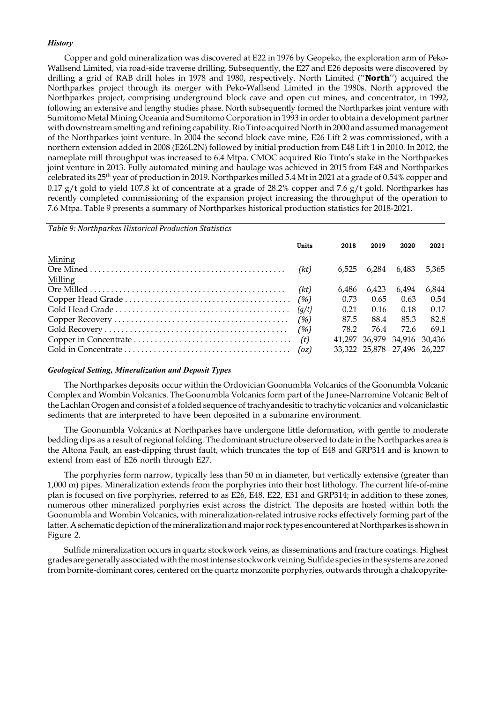# **History**

Copper and gold mineralization was discovered at E22 in 1976 by Geopeko, the exploration arm of Peko-Wallsend Limited, via road-side traverse drilling. Subsequently, the E27 and E26 deposits were discovered by drilling a grid of RAB drill holes in 1978 and 1980, respectively. North Limited ("North") acquired the Northparkes project through its merger with Peko-Wallsend Limited in the 1980s. North approved the Northparkes project, comprising underground block cave and open cut mines, and concentrator, in 1992, following an extensive and lengthy studies phase. North subsequently formed the Northparkes joint venture with Sumitomo Metal Mining Oceania and Sumitomo Corporation in 1993 in order to obtain a development partner with downstream smelting and refining capability. Rio Tinto acquired North in 2000 and assumed management of the Northparkes joint venture. In 2004 the second block cave mine, E26 Lift 2 was commissioned, with a northern extension added in 2008 (E26L2N) followed by initial production from E48 Lift 1 in 2010. In 2012, the nameplate mill throughput was increased to 6.4 Mtpa. CMOC acquired Rio Tinto's stake in the Northparkes joint venture in 2013. Fully automated mining and haulage was achieved in 2015 from E48 and Northparkes celebrated its 25th year of production in 2019. Northparkes milled 5.4 Mt in 2021 at a grade of 0.54% copper and 0.17 g/t gold to yield 107.8 kt of concentrate at a grade of 28.2% copper and 7.6 g/t gold. Northparkes has recently completed commissioning of the expansion project increasing the throughput of the operation to 7.6 Mtpa. Table 9 presents a summary of Northparkes historical production statistics for 2018-2021. by Geopeko, the exploration arm of Peko-<br>E27 and E26 deposits were discovered by<br>North Limited (**'North'**) acquired the<br>hited in the 1980s. North approved the<br>en cut mines, and concentrator, in 1992,<br>formed the Northparke

Table 9: Northparkes Historical Production Statistics

|         | Units | 2018  | 2019  | 2020                        | 2021  |
|---------|-------|-------|-------|-----------------------------|-------|
| Mining  |       |       |       |                             |       |
| Milling |       | 6.525 | 6.284 | 6.483                       | 5.365 |
|         |       | 6.486 | 6.423 | 6.494                       | 6.844 |
|         |       | 0.73  | 0.65  | 0.63                        | 0.54  |
|         |       | 0.21  | 0.16  | 0.18                        | 0.17  |
|         |       | 87.5  | 88.4  | 85.3                        | 82.8  |
|         |       | 78.2  | 76.4  | 72.6                        | 69.1  |
|         |       |       |       | 41,297 36,979 34,916 30,436 |       |
|         |       |       |       | 33.322 25.878 27.496 26.227 |       |

# Geological Setting, Mineralization and Deposit Types

The Northparkes deposits occur within the Ordovician Goonumbla Volcanics of the Goonumbla Volcanic Complex and Wombin Volcanics. The Goonumbla Volcanics form part of the Junee-Narromine Volcanic Belt of the Lachlan Orogen and consist of a folded sequence of trachyandesitic to trachytic volcanics and volcaniclastic sediments that are interpreted to have been deposited in a submarine environment.

The Goonumbla Volcanics at Northparkes have undergone little deformation, with gentle to moderate bedding dips as a result of regional folding. The dominant structure observed to date in the Northparkes area is the Altona Fault, an east-dipping thrust fault, which truncates the top of E48 and GRP314 and is known to extend from east of E26 north through E27.

The porphyries form narrow, typically less than 50 m in diameter, but vertically extensive (greater than 1,000 m) pipes. Mineralization extends from the porphyries into their host lithology. The current life-of-mine plan is focused on five porphyries, referred to as E26, E48, E22, E31 and GRP314; in addition to these zones, numerous other mineralized porphyries exist across the district. The deposits are hosted within both the Goonumbla and Wombin Volcanics, with mineralization-related intrusive rocks effectively forming part of the latter. A schematic depiction of the mineralization and major rock types encountered at Northparkes is shown in Figure 2.

Sulfide mineralization occurs in quartz stockwork veins, as disseminations and fracture coatings. Highest grades are generally associated with the most intense stockwork veining. Sulfide species in the systems are zoned from bornite-dominant cores, centered on the quartz monzonite porphyries, outwards through a chalcopyrite-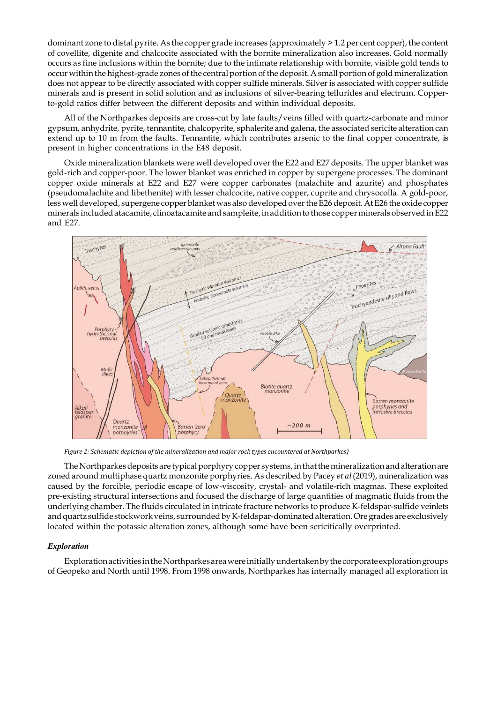dominant zone to distal pyrite. As the copper grade increases (approximately  $\geq 1.2$  per cent copper), the content of covellite, digenite and chalcocite associated with the bornite mineralization also increases. Gold normally occurs as fine inclusions within the bornite; due to the intimate relationship with bornite, visible gold tends to occur within the highest-grade zones of the central portion of the deposit. A small portion of gold mineralization does not appear to be directly associated with copper sulfide minerals. Silver is associated with copper sulfide minerals and is present in solid solution and as inclusions of silver-bearing tellurides and electrum. Copperto-gold ratios differ between the different deposits and within individual deposits.

All of the Northparkes deposits are cross-cut by late faults/veins filled with quartz-carbonate and minor gypsum, anhydrite, pyrite, tennantite, chalcopyrite, sphalerite and galena, the associated sericite alteration can extend up to 10 m from the faults. Tennantite, which contributes arsenic to the final copper concentrate, is present in higher concentrations in the E48 deposit.

Oxide mineralization blankets were well developed over the E22 and E27 deposits. The upper blanket was gold-rich and copper-poor. The lower blanket was enriched in copper by supergene processes. The dominant copper oxide minerals at E22 and E27 were copper carbonates (malachite and azurite) and phosphates (pseudomalachite and libethenite) with lesser chalcocite, native copper, cuprite and chrysocolla. A gold-poor, less well developed, supergene copper blanket was also developed over the E26 deposit. At E26 the oxide copper minerals included atacamite, clinoatacamite and sampleite, in addition to those copper minerals observed in E22 and E27.



Figure 2: Schematic depiction of the mineralization and major rock types encountered at Northparkes)

The Northparkes deposits are typical porphyry copper systems, in that the mineralization and alteration are zoned around multiphase quartz monzonite porphyries. As described by Pacey et al (2019), mineralization was caused by the forcible, periodic escape of low-viscosity, crystal- and volatile-rich magmas. These exploited pre-existing structural intersections and focused the discharge of large quantities of magmatic fluids from the underlying chamber. The fluids circulated in intricate fracture networks to produce K-feldspar-sulfide veinlets and quartz sulfide stockwork veins, surrounded by K-feldspar-dominated alteration. Ore grades are exclusively located within the potassic alteration zones, although some have been sericitically overprinted.

# Exploration

Exploration activities in the Northparkes area were initially undertaken by the corporate exploration groups of Geopeko and North until 1998. From 1998 onwards, Northparkes has internally managed all exploration in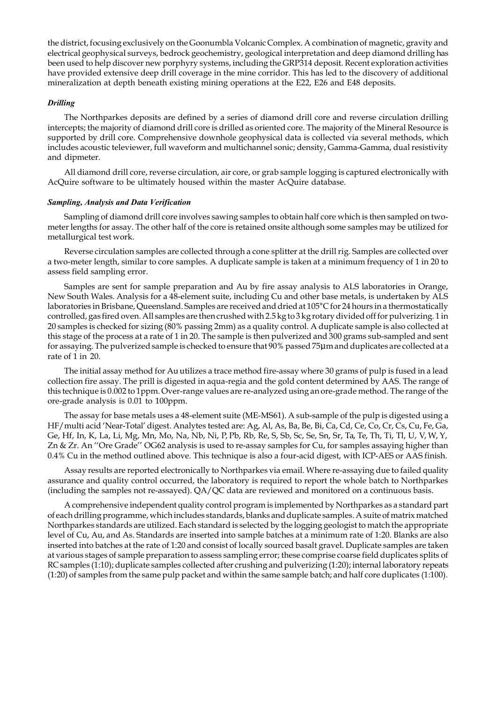the district, focusing exclusively on the Goonumbla Volcanic Complex. A combination of magnetic, gravity and electrical geophysical surveys, bedrock geochemistry, geological interpretation and deep diamond drilling has been used to help discover new porphyry systems, including the GRP314 deposit. Recent exploration activities have provided extensive deep drill coverage in the mine corridor. This has led to the discovery of additional mineralization at depth beneath existing mining operations at the E22, E26 and E48 deposits.

# Drilling

The Northparkes deposits are defined by a series of diamond drill core and reverse circulation drilling intercepts; the majority of diamond drill core is drilled as oriented core. The majority of the Mineral Resource is supported by drill core. Comprehensive downhole geophysical data is collected via several methods, which includes acoustic televiewer, full waveform and multichannel sonic; density, Gamma-Gamma, dual resistivity and dipmeter.

All diamond drill core, reverse circulation, air core, or grab sample logging is captured electronically with AcQuire software to be ultimately housed within the master AcQuire database.

### Sampling, Analysis and Data Verification

Sampling of diamond drill core involves sawing samples to obtain half core which is then sampled on twometer lengths for assay. The other half of the core is retained onsite although some samples may be utilized for metallurgical test work.

Reverse circulation samples are collected through a cone splitter at the drill rig. Samples are collected over a two-meter length, similar to core samples. A duplicate sample is taken at a minimum frequency of 1 in 20 to assess field sampling error.

Samples are sent for sample preparation and Au by fire assay analysis to ALS laboratories in Orange, New South Wales. Analysis for a 48-element suite, including Cu and other base metals, is undertaken by ALS laboratories in Brisbane, Queensland. Samples are received and dried at 105°C for 24 hours in a thermostatically controlled, gas fired oven. All samples are then crushed with 2.5 kg to 3 kg rotary divided off for pulverizing. 1 in 20 samples is checked for sizing (80% passing 2mm) as a quality control. A duplicate sample is also collected at this stage of the process at a rate of 1 in 20. The sample is then pulverized and 300 grams sub-sampled and sent for assaying. The pulverized sample is checked to ensure that 90% passed 75µm and duplicates are collected at a rate of 1 in 20.

The initial assay method for Au utilizes a trace method fire-assay where 30 grams of pulp is fused in a lead collection fire assay. The prill is digested in aqua-regia and the gold content determined by AAS. The range of this technique is 0.002 to 1ppm. Over-range values are re-analyzed using an ore-grade method. The range of the ore-grade analysis is 0.01 to 100ppm.

The assay for base metals uses a 48-element suite (ME-MS61). A sub-sample of the pulp is digested using a HF/multi acid 'Near-Total' digest. Analytes tested are: Ag, Al, As, Ba, Be, Bi, Ca, Cd, Ce, Co, Cr, Cs, Cu, Fe, Ga, Ge, Hf, In, K, La, Li, Mg, Mn, Mo, Na, Nb, Ni, P, Pb, Rb, Re, S, Sb, Sc, Se, Sn, Sr, Ta, Te, Th, Ti, Tl, U, V, W, Y, Zn & Zr. An ''Ore Grade'' OG62 analysis is used to re-assay samples for Cu, for samples assaying higher than 0.4% Cu in the method outlined above. This technique is also a four-acid digest, with ICP-AES or AAS finish.

Assay results are reported electronically to Northparkes via email. Where re-assaying due to failed quality assurance and quality control occurred, the laboratory is required to report the whole batch to Northparkes (including the samples not re-assayed). QA/QC data are reviewed and monitored on a continuous basis.

A comprehensive independent quality control program is implemented by Northparkes as a standard part of each drilling programme, which includes standards, blanks and duplicate samples. A suite of matrix matched Northparkes standards are utilized. Each standard is selected by the logging geologist to match the appropriate level of Cu, Au, and As. Standards are inserted into sample batches at a minimum rate of 1:20. Blanks are also inserted into batches at the rate of 1:20 and consist of locally sourced basalt gravel. Duplicate samples are taken at various stages of sample preparation to assess sampling error; these comprise coarse field duplicates splits of RC samples (1:10); duplicate samples collected after crushing and pulverizing (1:20); internal laboratory repeats (1:20) of samples from the same pulp packet and within the same sample batch; and half core duplicates (1:100).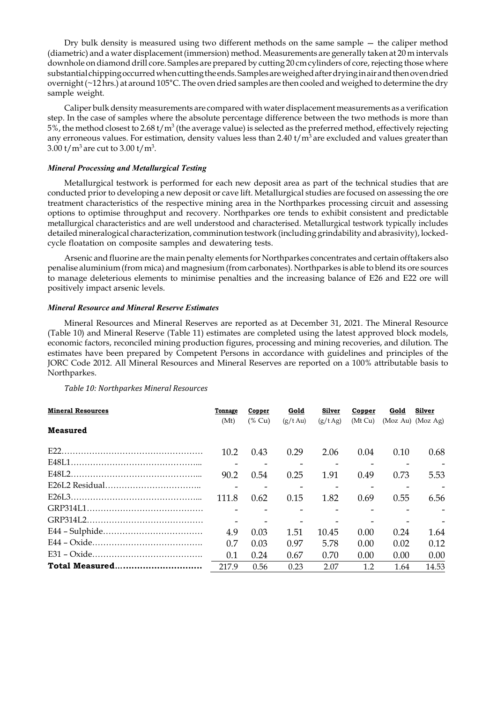Dry bulk density is measured using two different methods on the same sample — the caliper method (diametric) and a water displacement (immersion) method. Measurements are generally taken at 20 m intervals downhole on diamond drill core. Samples are prepared by cutting 20 cm cylinders of core, rejecting those where substantial chipping occurred when cutting the ends. Samples are weighed after drying in air and then oven dried overnight (~12 hrs.) at around 105°C. The oven dried samples are then cooled and weighed to determine the dry sample weight.

Caliper bulk density measurements are compared with water displacement measurements as a verification step. In the case of samples where the absolute percentage difference between the two methods is more than 5%, the method closest to 2.68 t/m<sup>3</sup> (the average value) is selected as the preferred method, effectively rejecting any erroneous values. For estimation, density values less than 2.40 t/m<sup>3</sup> are excluded and values greater than  $3.00$  t/m<sup>3</sup> are cut to  $3.00$  t/m<sup>3</sup>.

# Mineral Processing and Metallurgical Testing

Metallurgical testwork is performed for each new deposit area as part of the technical studies that are conducted prior to developing a new deposit or cave lift. Metallurgical studies are focused on assessing the ore treatment characteristics of the respective mining area in the Northparkes processing circuit and assessing options to optimise throughput and recovery. Northparkes ore tends to exhibit consistent and predictable metallurgical characteristics and are well understood and characterised. Metallurgical testwork typically includes detailed mineralogical characterization, comminution testwork (including grindability and abrasivity), lockedcycle floatation on composite samples and dewatering tests.

Arsenic and fluorine are the main penalty elements for Northparkes concentrates and certain offtakers also penalise aluminium (from mica) and magnesium (from carbonates). Northparkes is able to blend its ore sources to manage deleterious elements to minimise penalties and the increasing balance of E26 and E22 ore will positively impact arsenic levels.

# Mineral Resource and Mineral Reserve Estimates

Mineral Resources and Mineral Reserves are reported as at December 31, 2021. The Mineral Resource (Table 10) and Mineral Reserve (Table 11) estimates are completed using the latest approved block models, economic factors, reconciled mining production figures, processing and mining recoveries, and dilution. The estimates have been prepared by Competent Persons in accordance with guidelines and principles of the JORC Code 2012. All Mineral Resources and Mineral Reserves are reported on a 100% attributable basis to Northparkes.

Table 10: Northparkes Mineral Resources

| <b>Mineral Resources</b> | Tonnage | Copper    | Gold              | Silver  | Copper  | Gold | Silver                |
|--------------------------|---------|-----------|-------------------|---------|---------|------|-----------------------|
|                          | (Mt)    | $(\%$ Cu) | $(g/t \text{Au})$ | (g/tAg) | (Mt Cu) |      | $(Moz Au)$ $(Moz Ag)$ |
| <b>Measured</b>          |         |           |                   |         |         |      |                       |
|                          |         |           |                   |         |         |      |                       |
|                          | 10.2    | 0.43      | 0.29              | 2.06    | 0.04    | 0.10 | 0.68                  |
|                          |         |           |                   |         |         |      |                       |
|                          | 90.2    | 0.54      | 0.25              | 1.91    | 0.49    | 0.73 | 5.53                  |
|                          |         |           |                   |         |         |      |                       |
|                          | 111.8   | 0.62      | 0.15              | 1.82    | 0.69    | 0.55 | 6.56                  |
|                          |         |           |                   |         |         |      |                       |
|                          |         |           |                   |         |         |      |                       |
|                          | 4.9     | 0.03      | 1.51              | 10.45   | 0.00    | 0.24 | 1.64                  |
|                          | 0.7     | 0.03      | 0.97              | 5.78    | 0.00    | 0.02 | 0.12                  |
|                          | 0.1     | 0.24      | 0.67              | 0.70    | 0.00    | 0.00 | 0.00                  |
| Total Measured           | 217.9   | 0.56      | 0.23              | 2.07    | 1.2     | 1.64 | 14.53                 |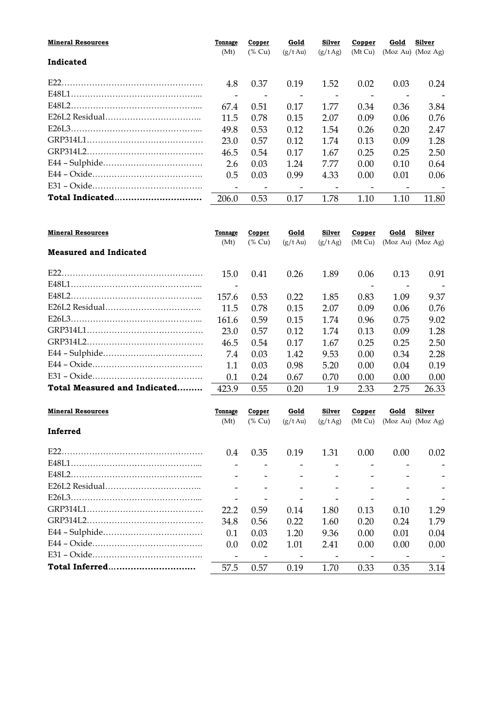| <b>Mineral Resources</b><br>Gold<br>Silver<br>Gold<br>Tonnage<br>Copper<br>Copper     | Silver |
|---------------------------------------------------------------------------------------|--------|
| (Mt)<br>$(\%$ Cu)<br>(Mt Cu)<br>$(Moz Au)$ $(Moz Ag)$<br>$(g/t \text{Au})$<br>(g/tAg) |        |
| Indicated                                                                             |        |
|                                                                                       |        |
| 0.37<br>1.52<br>0.03<br>4.8<br>0.19<br>0.02                                           | 0.24   |
| $\overline{\phantom{a}}$                                                              |        |
| 67.4<br>0.17<br>1.77<br>0.36<br>0.34<br>0.51                                          | 3.84   |
| 2.07<br>11.5<br>0.78<br>0.15<br>0.09<br>0.06                                          | 0.76   |
| 49.8<br>0.53<br>0.12<br>1.54<br>0.20<br>0.26                                          | 2.47   |
| 0.57<br>1.74<br>0.09<br>23.0<br>0.12<br>0.13                                          | 1.28   |
| 1.67<br>0.17<br>0.25<br>46.5<br>0.54<br>0.25                                          | 2.50   |
| 7.77<br>2.6<br>0.03<br>1.24<br>0.10<br>0.00                                           | 0.64   |
| 0.5<br>0.99<br>4.33<br>0.03<br>0.00<br>0.01                                           | 0.06   |
|                                                                                       |        |
| Total Indicated<br>206.0<br>0.53<br>0.17<br>1.78<br>1.10<br>1.10                      | 11.80  |

| <b>Mineral Resources</b>      | Tonnage<br>(Mt) | Copper<br>$(\%$ Cu) | Gold<br>$(g/t \,\mathrm{Au})$ | Silver<br>(g/tAg) | Copper<br>(Mt Cu) | Gold | Silver<br>$(Moz Au)$ $(Moz Ag)$ |
|-------------------------------|-----------------|---------------------|-------------------------------|-------------------|-------------------|------|---------------------------------|
| <b>Measured and Indicated</b> |                 |                     |                               |                   |                   |      |                                 |
|                               | 15.0            | 0.41                | 0.26                          | 1.89              | 0.06              | 0.13 | 0.91                            |
|                               |                 |                     |                               |                   |                   |      |                                 |
|                               | 157.6           | 0.53                | 0.22                          | 1.85              | 0.83              | 1.09 | 9.37                            |
|                               | 11.5            | 0.78                | 0.15                          | 2.07              | 0.09              | 0.06 | 0.76                            |
|                               | 161.6           | 0.59                | 0.15                          | 1.74              | 0.96              | 0.75 | 9.02                            |
|                               | 23.0            | 0.57                | 0.12                          | 1.74              | 0.13              | 0.09 | 1.28                            |
|                               | 46.5            | 0.54                | 0.17                          | 1.67              | 0.25              | 0.25 | 2.50                            |
|                               | 7.4             | 0.03                | 1.42                          | 9.53              | 0.00              | 0.34 | 2.28                            |
|                               | 1.1             | 0.03                | 0.98                          | 5.20              | 0.00 <sub>1</sub> | 0.04 | 0.19                            |
|                               | 0.1             | 0.24                | 0.67                          | 0.70              | 0.00 <sub>1</sub> | 0.00 | 0.00                            |
| Total Measured and Indicated  | 423.9           | 0.55                | 0.20                          | 1.9               | 2.33              | 2.75 | 26.33                           |
|                               |                 |                     |                               |                   |                   |      |                                 |

| <b>Mineral Resources</b> | Tonnage       | Copper    | Gold          | Silver  | Copper  | Gold | Silver                |
|--------------------------|---------------|-----------|---------------|---------|---------|------|-----------------------|
|                          | (Mt)          | $(\%$ Cu) | $(g/t \, Au)$ | (g/tAg) | (Mt Cu) |      | $(Moz Au)$ $(Moz Ag)$ |
| Inferred                 |               |           |               |         |         |      |                       |
| E22.                     | $0.4^{\circ}$ | 0.35      | 0.19          | 1.31    | 0.00    | 0.00 | 0.02                  |
|                          |               |           |               |         |         |      |                       |
|                          |               |           |               |         |         |      |                       |
|                          |               |           |               |         |         |      |                       |
|                          |               |           |               |         |         |      |                       |
|                          | 22.2          | 0.59      | 0.14          | 1.80    | 0.13    | 0.10 | 1.29                  |
|                          | 34.8          | 0.56      | 0.22          | 1.60    | 0.20    | 0.24 | 1.79                  |
|                          | 0.1           | 0.03      | 1.20          | 9.36    | 0.00    | 0.01 | 0.04                  |
|                          | $0.0^{\circ}$ | 0.02      | 1.01          | 2.41    | 0.00    | 0.00 | 0.00                  |
|                          |               |           |               |         |         |      |                       |
| Total Inferred           | 57.5          | 0.57      | 0.19          | 1.70    | 0.33    | 0.35 | 3.14                  |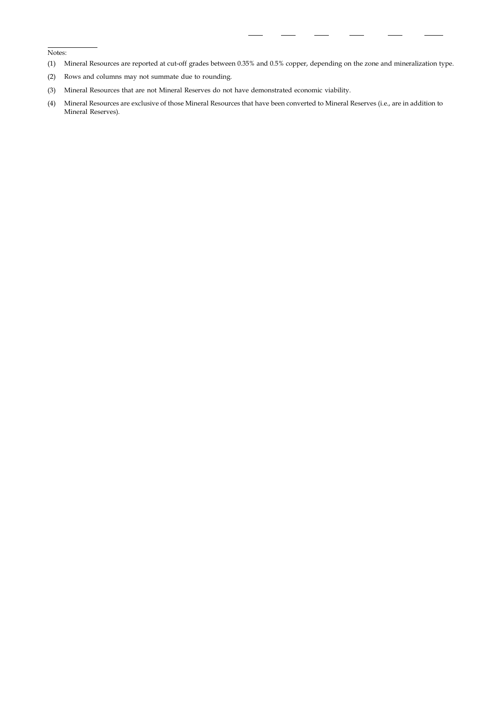Notes:

- (1) Mineral Resources are reported at cut-off grades between 0.35% and 0.5% copper, depending on the zone and mineralization type.
- (2) Rows and columns may not summate due to rounding.
- (3) Mineral Resources that are not Mineral Reserves do not have demonstrated economic viability.
- (4) Mineral Resources are exclusive of those Mineral Resources that have been converted to Mineral Reserves (i.e., are in addition to Mineral Reserves).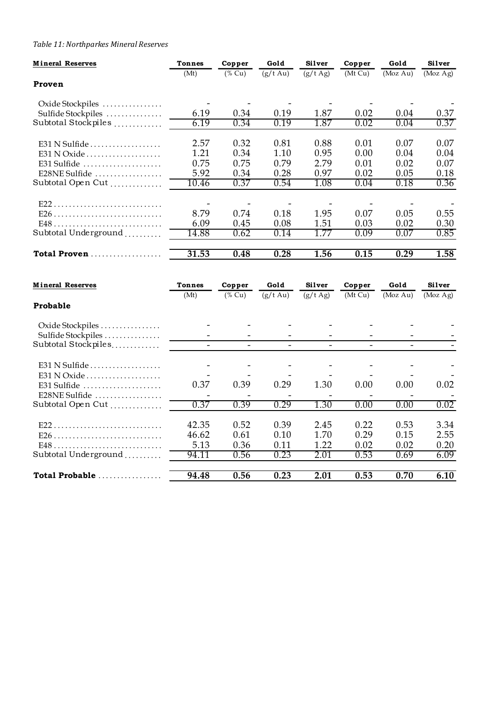# Table 11: Northparkes Mineral Reserves

| Table 11: Northparkes Mineral Reserves    |                                  |                          |                                                      |                                  |                                  |                          |                                                      |
|-------------------------------------------|----------------------------------|--------------------------|------------------------------------------------------|----------------------------------|----------------------------------|--------------------------|------------------------------------------------------|
| <b>Mineral Reserves</b>                   | <b>Tonnes</b>                    | Copper                   | Gold                                                 | Silver                           | Copper                           | Gold                     | Silver                                               |
| Proven                                    | (Mt)                             | $(%$ (% Cu)              | $(g/t \nightharpoonup A u)$                          | (g/t Ag)                         | (Mt Cu)                          | (Moz Au)                 | (Moz Ag)                                             |
|                                           |                                  |                          |                                                      |                                  |                                  |                          |                                                      |
| Oxide Stockpiles<br>Sulfide Stockpiles    | 6.19                             | 0.34                     | 0.19                                                 | 1.87                             | 0.02                             | 0.04                     | 0.37                                                 |
| Subtotal Stockpiles                       | 6.19                             | 0.34                     | 0.19                                                 | 1.87                             | 0.02                             | 0.04                     | 0.37                                                 |
| E31 N Sulfide                             | 2.57                             | 0.32                     | 0.81                                                 | 0.88                             | 0.01                             | 0.07                     | 0.07                                                 |
| E31 N Oxide                               | 1.21                             | 0.34                     | 1.10                                                 | 0.95                             | 0.00                             | 0.04                     | 0.04                                                 |
| E31 Sulfide<br>E28NE Sulfide              | 0.75<br>5.92                     | 0.75<br>0.34             | 0.79<br>0.28                                         | 2.79<br>0.97                     | 0.01<br>0.02                     | 0.02<br>0.05             | 0.07<br>0.18                                         |
| Subtotal Open Cut                         | 10.46                            | 0.37                     | 0.54                                                 | 1.08                             | 0.04                             | 0.18                     | 0.36                                                 |
| E22                                       |                                  |                          |                                                      |                                  |                                  |                          |                                                      |
|                                           | 8.79                             | 0.74                     | 0.18                                                 | 1.95                             | 0.07                             | 0.05                     | 0.55                                                 |
| Subtotal Underground                      | 6.09<br>14.88                    | 0.45<br>0.62             | 0.08<br>0.14                                         | 1.51<br>1.77                     | 0.03<br>0.09                     | 0.02<br>0.07             | 0.30<br>0.85                                         |
|                                           |                                  |                          |                                                      |                                  |                                  |                          |                                                      |
| Total Proven                              | 31.53                            | 0.48                     | 0.28                                                 | 1.56                             | 0.15                             | 0.29                     | 1.58                                                 |
| <b>Mineral Reserves</b>                   | <b>Tonnes</b>                    | Copper                   | Gold                                                 | Silver                           | Copper                           | Gold                     | Silver                                               |
|                                           | (Mt)                             | $(%$ (% Cu)              | $(g/t \text{ Au})$                                   | (g/t Ag)                         | (Mt Cu)                          | (MozAu)                  | (Moz Ag)                                             |
| Probable                                  |                                  |                          |                                                      |                                  |                                  |                          |                                                      |
| Oxide Stockpiles                          |                                  |                          |                                                      |                                  |                                  |                          |                                                      |
| Sulfide Stockpiles<br>Subtotal Stockpiles | $\sim$                           | $\overline{\phantom{0}}$ | $\equiv$                                             | $\sim$                           | $\sim$                           | $\overline{\phantom{0}}$ |                                                      |
|                                           |                                  |                          |                                                      |                                  |                                  |                          |                                                      |
| E31 N Sulfide<br>E31 N Oxide              |                                  | $\overline{\phantom{a}}$ | $\overline{\phantom{a}}$<br>$\overline{\phantom{a}}$ | $\overline{\phantom{a}}$         | $\overline{\phantom{a}}$         | $\overline{\phantom{a}}$ | $\overline{\phantom{a}}$<br>$\overline{\phantom{a}}$ |
| E31 Sulfide                               | 0.37                             | 0.39                     | 0.29                                                 | 1.30                             | 0.00                             | 0.00                     | 0.02                                                 |
| E28NE Sulfide<br>Subtotal Open Cut        | $\overline{\phantom{a}}$<br>0.37 | 0.39                     | 0.29                                                 | $\overline{\phantom{a}}$<br>1.30 | $\overline{\phantom{a}}$<br>0.00 | 0.00                     | 0.02                                                 |
|                                           |                                  |                          |                                                      |                                  |                                  |                          |                                                      |
| E22                                       | 42.35<br>46.62                   | 0.52<br>0.61             | 0.39<br>0.10                                         | 2.45<br>1.70                     | 0.22<br>0.29                     | 0.53<br>0.15             | 3.34<br>2.55                                         |
|                                           | 5.13                             | 0.36                     | 0.11                                                 | 1.22                             | 0.02                             | 0.02                     | 0.20                                                 |
|                                           | 94.11                            | 0.56                     | 0.23                                                 | 2.01                             | 0.53                             | 0.69                     | 6.09                                                 |
| Subtotal Underground                      |                                  |                          |                                                      | 2.01                             | 0.53                             | 0.70                     | 6.10                                                 |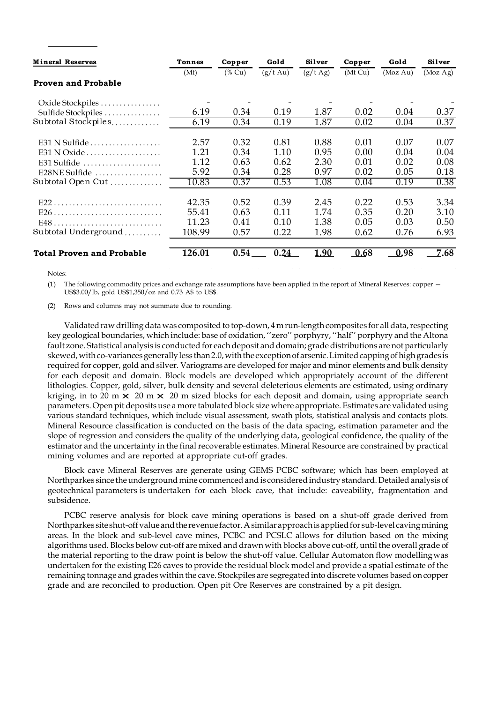| <b>Mineral Reserves</b>                        | <b>Tonnes</b>            | Copper                   | Gold                     | Silver                   | Copper                   | Gold                     | Silver                   |
|------------------------------------------------|--------------------------|--------------------------|--------------------------|--------------------------|--------------------------|--------------------------|--------------------------|
|                                                | (Mt)                     | $($ % Cu)                | $(g/t \text{ Au})$       | (g/t Ag)                 | (Mt Cu)                  | (Moz Au)                 | (Moz Ag)                 |
|                                                |                          |                          |                          |                          |                          |                          |                          |
| <b>Proven and Probable</b><br>Oxide Stockpiles | $\overline{\phantom{a}}$ | $\overline{\phantom{a}}$ | $\overline{\phantom{a}}$ | $\overline{\phantom{a}}$ | $\overline{\phantom{a}}$ | $\overline{\phantom{a}}$ | $\overline{\phantom{a}}$ |
| Sulfide Stockpiles                             | 6.19                     | 0.34                     | 0.19                     | 1.87                     | 0.02                     | $0.04\,$                 |                          |
| Subtotal Stockpiles                            | 6.19                     | 0.34                     | 0.19                     | 1.87                     | 0.02                     | 0.04                     |                          |
|                                                | 2.57                     | 0.32                     | 0.81                     | 0.88                     | 0.01                     | 0.07                     | 0.37<br>0.37<br>0.07     |
| E31 N Sulfide<br>E31 N Oxide                   | 1.21                     | 0.34                     | 1.10                     | 0.95                     | 0.00                     | 0.04                     | 0.04                     |
| E31 Sulfide                                    | 1.12                     | 0.63                     | 0.62                     | 2.30                     | 0.01                     | 0.02                     | 0.08                     |
| E28NE Sulfide                                  | 5.92                     | 0.34                     | 0.28                     | 0.97                     | 0.02                     | 0.05                     | 0.18                     |
| Subtotal Open Cut                              | 10.83                    | 0.37                     | 0.53                     | 1.08                     | 0.04                     | 0.19                     | 0.38                     |
|                                                | 42.35                    | 0.52                     | 0.39                     | 2.45                     | 0.22                     | 0.53                     | 3.34                     |
| E22                                            | 55.41                    | 0.63                     | 0.11                     | 1.74                     | 0.35                     | 0.20                     | 3.10                     |
|                                                | 11.23                    | 0.41                     | 0.10                     | 1.38                     | 0.05                     | 0.03                     | 0.50                     |
| Subtotal Underground                           | 108.99                   | 0.57                     | 0.22                     | 1.98                     | 0.62                     | 0.76                     | 6.93                     |

#### Notes:

(1) The following commodity prices and exchange rate assumptions have been applied in the report of Mineral Reserves: copper — US\$3.00/lb, gold US\$1,350/oz and 0.73 A\$ to US\$.

(2) Rows and columns may not summate due to rounding.

Validated raw drilling data was composited to top-down, 4 m run-length composites for all data, respecting key geological boundaries, which include: base of oxidation, ''zero'' porphyry, ''half'' porphyry and the Altona fault zone. Statistical analysis is conducted for each deposit and domain; grade distributions are not particularly skewed, with co-variances generally less than 2.0, with the exception of arsenic. Limited capping of high grades is required for copper, gold and silver. Variograms are developed for major and minor elements and bulk density for each deposit and domain. Block models are developed which appropriately account of the different lithologies. Copper, gold, silver, bulk density and several deleterious elements are estimated, using ordinary kriging, in to 20 m  $\times$  20 m  $\times$  20 m sized blocks for each deposit and domain, using appropriate search parameters. Open pit deposits use a more tabulated block size where appropriate. Estimates are validated using various standard techniques, which include visual assessment, swath plots, statistical analysis and contacts plots. Mineral Resource classification is conducted on the basis of the data spacing, estimation parameter and the slope of regression and considers the quality of the underlying data, geological confidence, the quality of the estimator and the uncertainty in the final recoverable estimates. Mineral Resource are constrained by practical mining volumes and are reported at appropriate cut-off grades.

Block cave Mineral Reserves are generate using GEMS PCBC software; which has been employed at Northparkes since the underground mine commenced and is considered industry standard. Detailed analysis of geotechnical parameters is undertaken for each block cave, that include: caveability, fragmentation and subsidence.

PCBC reserve analysis for block cave mining operations is based on a shut-off grade derived from Northparkes site shut-off value and the revenue factor. A similar approach is applied for sub-level caving mining areas. In the block and sub-level cave mines, PCBC and PCSLC allows for dilution based on the mixing algorithms used. Blocks below cut-off are mixed and drawn with blocks above cut-off, until the overall grade of the material reporting to the draw point is below the shut-off value. Cellular Automaton flow modelling was undertaken for the existing E26 caves to provide the residual block model and provide a spatial estimate of the remaining tonnage and grades within the cave. Stockpiles are segregated into discrete volumes based on copper grade and are reconciled to production. Open pit Ore Reserves are constrained by a pit design.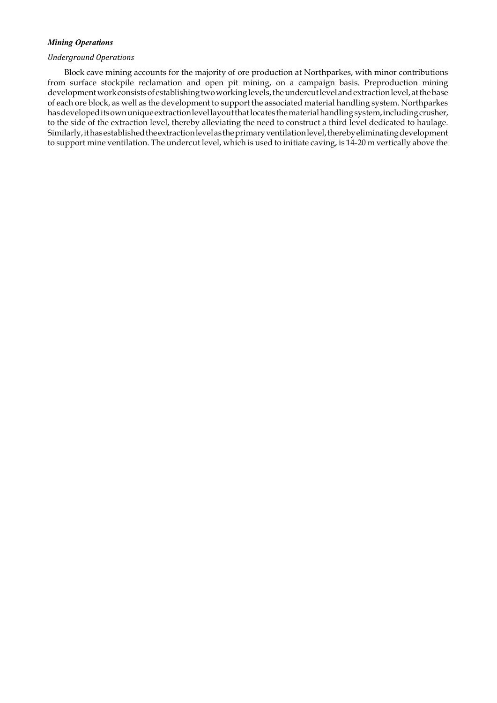# Mining Operations

# Underground Operations

Block cave mining accounts for the majority of ore production at Northparkes, with minor contributions from surface stockpile reclamation and open pit mining, on a campaign basis. Preproduction mining development work consists of establishing two working levels, the undercut level and extraction level, at the base of each ore block, as well as the development to support the associated material handling system. Northparkes has developed its own unique extraction level layout that locates the material handling system, including crusher, to the side of the extraction level, thereby alleviating the need to construct a third level dedicated to haulage. Similarly, it has established the extraction level as the primary ventilation level, thereby eliminating development to support mine ventilation. The undercut level, which is used to initiate caving, is 14-20 m vertically above the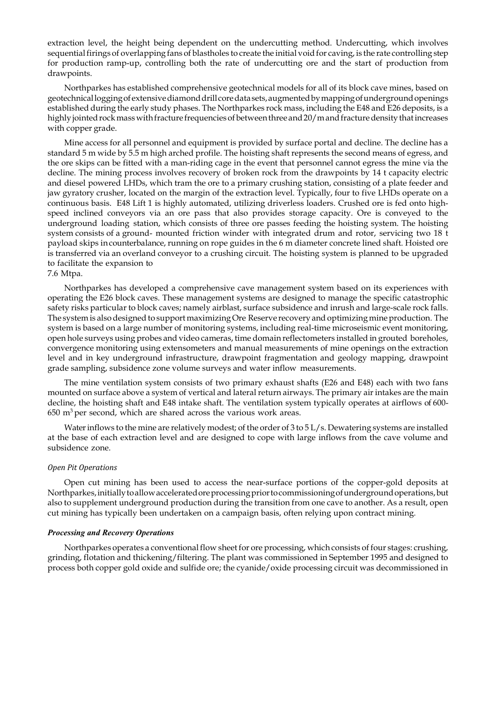extraction level, the height being dependent on the undercutting method. Undercutting, which involves sequential firings of overlapping fans of blastholes to create the initial void for caving, is the rate controlling step for production ramp-up, controlling both the rate of undercutting ore and the start of production from drawpoints.

Northparkes has established comprehensive geotechnical models for all of its block cave mines, based on geotechnical logging of extensive diamond drill core data sets, augmented by mapping of underground openings established during the early study phases. The Northparkes rock mass, including the E48 and E26 deposits, is a highly jointed rock mass with fracture frequencies of between three and 20/m and fracture density that increases with copper grade.

Mine access for all personnel and equipment is provided by surface portal and decline. The decline has a standard 5 m wide by 5.5 m high arched profile. The hoisting shaft represents the second means of egress, and the ore skips can be fitted with a man-riding cage in the event that personnel cannot egress the mine via the decline. The mining process involves recovery of broken rock from the drawpoints by 14 t capacity electric and diesel powered LHDs, which tram the ore to a primary crushing station, consisting of a plate feeder and jaw gyratory crusher, located on the margin of the extraction level. Typically, four to five LHDs operate on a continuous basis. E48 Lift 1 is highly automated, utilizing driverless loaders. Crushed ore is fed onto highspeed inclined conveyors via an ore pass that also provides storage capacity. Ore is conveyed to the underground loading station, which consists of three ore passes feeding the hoisting system. The hoisting system consists of a ground- mounted friction winder with integrated drum and rotor, servicing two 18 t payload skips in counterbalance, running on rope guides in the 6 m diameter concrete lined shaft. Hoisted ore is transferred via an overland conveyor to a crushing circuit. The hoisting system is planned to be upgraded to facilitate the expansion to

#### 7.6 Mtpa.

Northparkes has developed a comprehensive cave management system based on its experiences with operating the E26 block caves. These management systems are designed to manage the specific catastrophic safety risks particular to block caves; namely airblast, surface subsidence and inrush and large-scale rock falls. The system is also designed to support maximizing Ore Reserve recovery and optimizing mine production. The system is based on a large number of monitoring systems, including real-time microseismic event monitoring, open hole surveys using probes and video cameras, time domain reflectometers installed in grouted boreholes, convergence monitoring using extensometers and manual measurements of mine openings on the extraction level and in key underground infrastructure, drawpoint fragmentation and geology mapping, drawpoint grade sampling, subsidence zone volume surveys and water inflow measurements.

The mine ventilation system consists of two primary exhaust shafts (E26 and E48) each with two fans mounted on surface above a system of vertical and lateral return airways. The primary air intakes are the main decline, the hoisting shaft and E48 intake shaft. The ventilation system typically operates at airflows of 600-  $650 \text{ m}^3$  per second, which are shared across the various work areas.

Water inflows to the mine are relatively modest; of the order of 3 to 5 L/s. Dewatering systems are installed at the base of each extraction level and are designed to cope with large inflows from the cave volume and subsidence zone.

#### Open Pit Operations

Open cut mining has been used to access the near-surface portions of the copper-gold deposits at Northparkes, initially to allow accelerated ore processing prior to commissioning of underground operations, but also to supplement underground production during the transition from one cave to another. As a result, open cut mining has typically been undertaken on a campaign basis, often relying upon contract mining.

### Processing and Recovery Operations

Northparkes operates a conventional flow sheet for ore processing, which consists of four stages: crushing, grinding, flotation and thickening/filtering. The plant was commissioned in September 1995 and designed to process both copper gold oxide and sulfide ore; the cyanide/oxide processing circuit was decommissioned in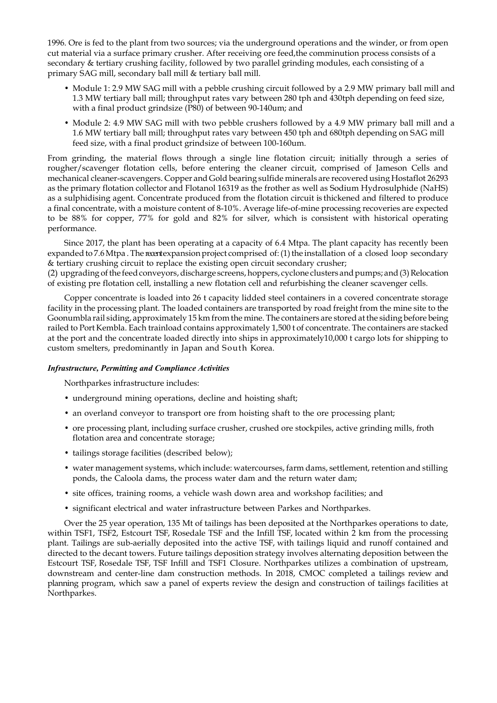1996. Ore is fed to the plant from two sources; via the underground operations and the winder, or from open cut material via a surface primary crusher. After receiving ore feed,the comminution process consists of a secondary & tertiary crushing facility, followed by two parallel grinding modules, each consisting of a primary SAG mill, secondary ball mill & tertiary ball mill.

- Module 1: 2.9 MW SAG mill with a pebble crushing circuit followed by a 2.9 MW primary ball mill and 1.3 MW tertiary ball mill; throughput rates vary between 280 tph and 430tph depending on feed size, with a final product grindsize (P80) of between 90-140um; and
- Module 2: 4.9 MW SAG mill with two pebble crushers followed by a 4.9 MW primary ball mill and a 1.6 MW tertiary ball mill; throughput rates vary between 450 tph and 680tph depending on SAG mill feed size, with a final product grindsize of between 100-160um.

From grinding, the material flows through a single line flotation circuit; initially through a series of rougher/scavenger flotation cells, before entering the cleaner circuit, comprised of Jameson Cells and mechanical cleaner-scavengers. Copper and Gold bearing sulfide minerals are recovered using Hostaflot 26293 as the primary flotation collector and Flotanol 16319 as the frother as well as Sodium Hydrosulphide (NaHS) as a sulphidising agent. Concentrate produced from the flotation circuit is thickened and filtered to produce a final concentrate, with a moisture content of 8-10%. Average life-of-mine processing recoveries are expected to be 88% for copper, 77% for gold and 82% for silver, which is consistent with historical operating performance.

Since 2017, the plant has been operating at a capacity of 6.4 Mtpa. The plant capacity has recently been expanded to 7.6 Mtpa. The recent expansion project comprised of: (1) the installation of a closed loop secondary & tertiary crushing circuit to replace the existing open circuit secondary crusher;

(2) upgrading of the feed conveyors, discharge screens, hoppers, cyclone clusters and pumps; and (3) Relocation of existing pre flotation cell, installing a new flotation cell and refurbishing the cleaner scavenger cells.

Copper concentrate is loaded into 26 t capacity lidded steel containers in a covered concentrate storage facility in the processing plant. The loaded containers are transported by road freight from the mine site to the Goonumbla rail siding, approximately 15 km from the mine. The containers are stored at the siding before being railed to Port Kembla. Each trainload contains approximately 1,500 t of concentrate. The containers are stacked at the port and the concentrate loaded directly into ships in approximately10,000 t cargo lots for shipping to custom smelters, predominantly in Japan and South Korea.

# Infrastructure, Permitting and Compliance Activities

Northparkes infrastructure includes:

- underground mining operations, decline and hoisting shaft;
- an overland conveyor to transport ore from hoisting shaft to the ore processing plant;
- ore processing plant, including surface crusher, crushed ore stockpiles, active grinding mills, froth flotation area and concentrate storage;
- tailings storage facilities (described below);
- water management systems, which include: watercourses, farm dams, settlement, retention and stilling ponds, the Caloola dams, the process water dam and the return water dam;
- site offices, training rooms, a vehicle wash down area and workshop facilities; and
- significant electrical and water infrastructure between Parkes and Northparkes.

Over the 25 year operation, 135 Mt of tailings has been deposited at the Northparkes operations to date, within TSF1, TSF2, Estcourt TSF, Rosedale TSF and the Infill TSF, located within 2 km from the processing plant. Tailings are sub-aerially deposited into the active TSF, with tailings liquid and runoff contained and directed to the decant towers. Future tailings deposition strategy involves alternating deposition between the Estcourt TSF, Rosedale TSF, TSF Infill and TSF1 Closure. Northparkes utilizes a combination of upstream, downstream and center-line dam construction methods. In 2018, CMOC completed a tailings review and planning program, which saw a panel of experts review the design and construction of tailings facilities at Northparkes.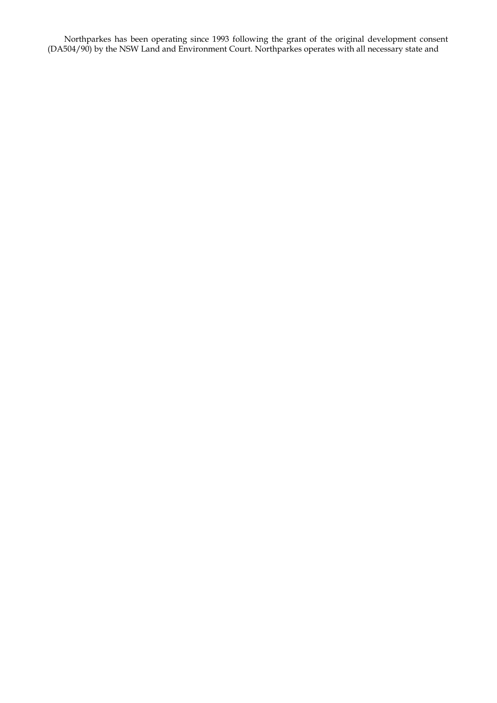Northparkes has been operating since 1993 following the grant of the original development consent (DA504/90) by the NSW Land and Environment Court. Northparkes operates with all necessary state and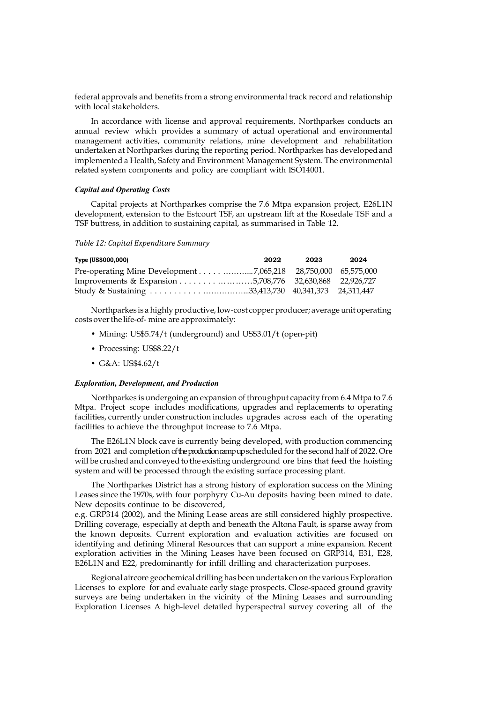federal approvals and benefits from a strong environmental track record and relationship with local stakeholders.

In accordance with license and approval requirements, Northparkes conducts an annual review which provides a summary of actual operational and environmental management activities, community relations, mine development and rehabilitation undertaken at Northparkes during the reporting period. Northparkes has developed and implemented a Health, Safety and Environment Management System. The environmental related system components and policy are compliant with ISO14001.

## Capital and Operating Costs

Capital projects at Northparkes comprise the 7.6 Mtpa expansion project, E26L1N development, extension to the Estcourt TSF, an upstream lift at the Rosedale TSF and a TSF buttress, in addition to sustaining capital, as summarised in Table 12.

## Table 12: Capital Expenditure Summary

| Type (US\$000,000) | 2022 | 2023 | 2024 |
|--------------------|------|------|------|
|                    |      |      |      |
|                    |      |      |      |
|                    |      |      |      |

Northparkes is a highly productive, low-cost copper producer; average unit operating costs over the life-of- mine are approximately:

- Mining: US\$5.74/t (underground) and US\$3.01/t (open-pit)
- Processing: US\$8.22/t
- G&A: US\$4.62/t

#### Exploration, Development, and Production

Northparkes is undergoing an expansion of throughput capacity from 6.4 Mtpa to 7.6 Mtpa. Project scope includes modifications, upgrades and replacements to operating facilities, currently under construction includes upgrades across each of the operating facilities to achieve the throughput increase to 7.6 Mtpa.

The E26L1N block cave is currently being developed, with production commencing from 2021 and completion of the production ramp up scheduled for the second half of 2022. Ore will be crushed and conveyed to the existing underground ore bins that feed the hoisting system and will be processed through the existing surface processing plant.

The Northparkes District has a strong history of exploration success on the Mining Leases since the 1970s, with four porphyry Cu-Au deposits having been mined to date. New deposits continue to be discovered,

e.g. GRP314 (2002), and the Mining Lease areas are still considered highly prospective. Drilling coverage, especially at depth and beneath the Altona Fault, is sparse away from the known deposits. Current exploration and evaluation activities are focused on identifying and defining Mineral Resources that can support a mine expansion. Recent exploration activities in the Mining Leases have been focused on GRP314, E31, E28, E26L1N and E22, predominantly for infill drilling and characterization purposes.

Regional aircore geochemical drilling has been undertaken on the various Exploration Licenses to explore for and evaluate early stage prospects. Close-spaced ground gravity surveys are being undertaken in the vicinity of the Mining Leases and surrounding Exploration Licenses A high-level detailed hyperspectral survey covering all of the